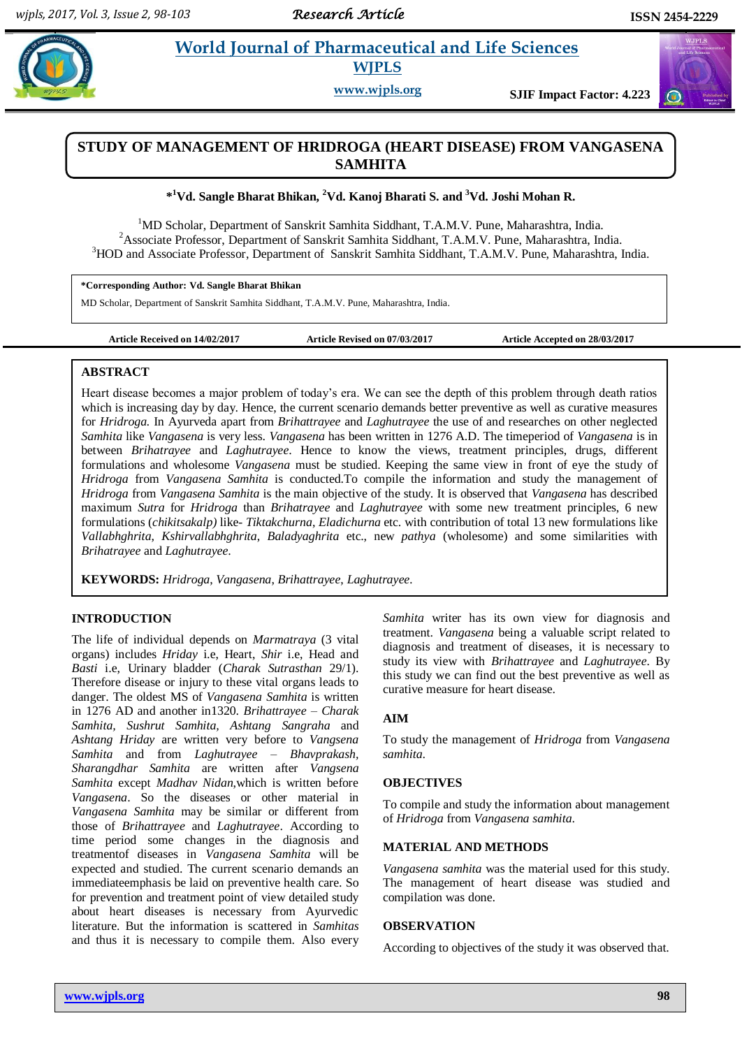$\bigodot$ 

# **Pharmaceutical and Life Sciences WJPLS**

**www.wjpls.org SJIF Impact Factor: 4.223**

# **STUDY OF MANAGEMENT OF HRIDROGA (HEART DISEASE) FROM VANGASENA SAMHITA**

**\* <sup>1</sup>Vd. Sangle Bharat Bhikan, <sup>2</sup>Vd. Kanoj Bharati S. and <sup>3</sup>Vd. Joshi Mohan R.**

<sup>1</sup>MD Scholar, Department of Sanskrit Samhita Siddhant, T.A.M.V. Pune, Maharashtra, India. <sup>2</sup> Associate Professor, Department of Sanskrit Samhita Siddhant, T.A.M.V. Pune, Maharashtra, India. <sup>3</sup>HOD and Associate Professor, Department of Sanskrit Samhita Siddhant, T.A.M.V. Pune, Maharashtra, India.

**\*Corresponding Author: Vd. Sangle Bharat Bhikan**

MD Scholar, Department of Sanskrit Samhita Siddhant, T.A.M.V. Pune, Maharashtra, India.

**Article Received on 14/02/2017 Article Revised on 07/03/2017 Article Accepted on 28/03/2017**

### **ABSTRACT**

Heart disease becomes a major problem of today's era. We can see the depth of this problem through death ratios which is increasing day by day. Hence, the current scenario demands better preventive as well as curative measures for *Hridroga.* In Ayurveda apart from *Brihattrayee* and *Laghutrayee* the use of and researches on other neglected *Samhita* like *Vangasena* is very less. *Vangasena* has been written in 1276 A.D. The timeperiod of *Vangasena* is in between *Brihatrayee* and *Laghutrayee*. Hence to know the views, treatment principles, drugs, different formulations and wholesome *Vangasena* must be studied. Keeping the same view in front of eye the study of *Hridroga* from *Vangasena Samhita* is conducted.To compile the information and study the management of *Hridroga* from *Vangasena Samhita* is the main objective of the study. It is observed that *Vangasena* has described maximum *Sutra* for *Hridroga* than *Brihatrayee* and *Laghutrayee* with some new treatment principles, 6 new formulations (*chikitsakalp)* like- *Tiktakchurna*, *Eladichurna* etc. with contribution of total 13 new formulations like *Vallabhghrita*, *Kshirvallabhghrita*, *Baladyaghrita* etc., new *pathya* (wholesome) and some similarities with *Brihatrayee* and *Laghutrayee*.

**KEYWORDS:** *Hridroga*, *Vangasena*, *Brihattrayee*, *Laghutrayee.*

### **INTRODUCTION**

The life of individual depends on *Marmatraya* (3 vital organs) includes *Hriday* i.e, Heart, *Shir* i.e, Head and *Basti* i.e, Urinary bladder (*Charak Sutrasthan* 29/1). Therefore disease or injury to these vital organs leads to danger. The oldest MS of *Vangasena Samhita* is written in 1276 AD and another in1320. *Brihattrayee – Charak Samhita, Sushrut Samhita, Ashtang Sangraha* and *Ashtang Hriday* are written very before to *Vangsena Samhita* and from *Laghutrayee – Bhavprakash, Sharangdhar Samhita* are written after *Vangsena Samhita* except *Madhav Nidan*,which is written before *Vangasena*. So the diseases or other material in *Vangasena Samhita* may be similar or different from those of *Brihattrayee* and *Laghutrayee*. According to time period some changes in the diagnosis and treatmentof diseases in *Vangasena Samhita* will be expected and studied. The current scenario demands an immediateemphasis be laid on preventive health care. So for prevention and treatment point of view detailed study about heart diseases is necessary from Ayurvedic literature. But the information is scattered in *Samhitas* and thus it is necessary to compile them. Also every

*Samhita* writer has its own view for diagnosis and treatment. *Vangasena* being a valuable script related to diagnosis and treatment of diseases, it is necessary to study its view with *Brihattrayee* and *Laghutrayee*. By this study we can find out the best preventive as well as curative measure for heart disease.

### **AIM**

To study the management of *Hridroga* from *Vangasena samhita*.

### **OBJECTIVES**

To compile and study the information about management of *Hridroga* from *Vangasena samhita*.

### **MATERIAL AND METHODS**

*Vangasena samhita* was the material used for this study. The management of heart disease was studied and compilation was done.

#### **OBSERVATION**

According to objectives of the study it was observed that.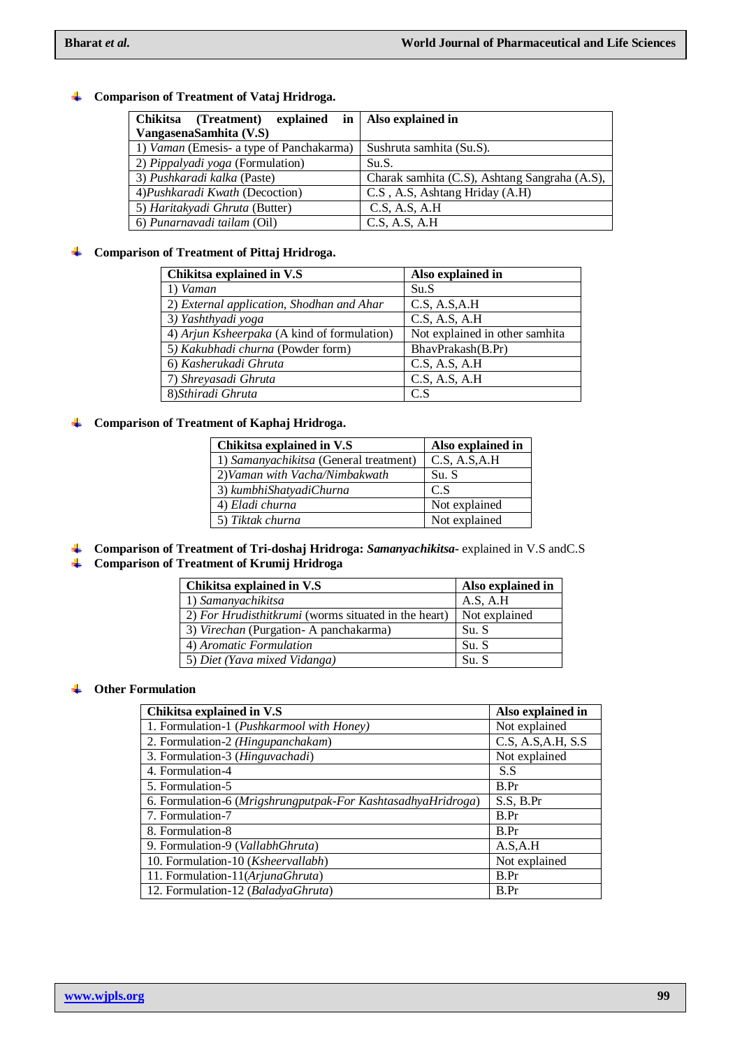## **Comparison of Treatment of Vataj Hridroga.**

| Chikitsa<br>explained<br>(Treatment)     | in   Also explained in                        |
|------------------------------------------|-----------------------------------------------|
| VangasenaSamhita (V.S)                   |                                               |
| 1) Vaman (Emesis- a type of Panchakarma) | Sushruta samhita (Su.S).                      |
| 2) Pippalyadi yoga (Formulation)         | Su.S.                                         |
| 3) Pushkaradi kalka (Paste)              | Charak samhita (C.S), Ashtang Sangraha (A.S), |
| 4) Pushkaradi Kwath (Decoction)          | C.S., A.S., Ashtang Hriday (A.H)              |
| 5) Haritakyadi Ghruta (Butter)           | C.S, A.S, A.H                                 |
| 6) Punarnavadi tailam (Oil)              | C.S, A.S, A.H                                 |

## **Comparison of Treatment of Pittaj Hridroga.**

| Chikitsa explained in V.S                   | Also explained in              |
|---------------------------------------------|--------------------------------|
| 1) Vaman                                    | Su.S                           |
| 2) External application, Shodhan and Ahar   | C.S, A.S.A.H                   |
| 3) Yashthyadi yoga                          | C.S, A.S, A.H                  |
| 4) Arjun Ksheerpaka (A kind of formulation) | Not explained in other samhita |
| 5) Kakubhadi churna (Powder form)           | BhavPrakash(B.Pr)              |
| 6) Kasherukadi Ghruta                       | C.S, A.S, A.H                  |
| 7) Shreyasadi Ghruta                        | C.S, A.S, A.H                  |
| 8) Sthiradi Ghruta                          | C.S                            |

### **Comparison of Treatment of Kaphaj Hridroga.**

| Chikitsa explained in V.S              | Also explained in |
|----------------------------------------|-------------------|
| 1) Samanyachikitsa (General treatment) | C.S. A.S.A.H      |
| 2) Vaman with Vacha/Nimbakwath         | Su. S             |
| 3) kumbhiShatyadiChurna                | C.S               |
| 4) Eladi churna                        | Not explained     |
| 5) Tiktak churna                       | Not explained     |

**Comparison of Treatment of Tri-doshaj Hridroga:** *Samanyachikitsa***-** explained in V.S andC.S **Comparison of Treatment of Krumij Hridroga**

| Chikitsa explained in V.S                            | Also explained in |
|------------------------------------------------------|-------------------|
| 1) Samanyachikitsa                                   | A.S. A.H          |
| 2) For Hrudisthitkrumi (worms situated in the heart) | Not explained     |
| 3) Virechan (Purgation-A panchakarma)                | Su. S             |
| 4) Aromatic Formulation                              | Su. S             |
| 5) Diet (Yava mixed Vidanga)                         | Su. S             |

### **Other Formulation**

| Chikitsa explained in V.S                                    | Also explained in |
|--------------------------------------------------------------|-------------------|
| 1. Formulation-1 (Pushkarmool with Honey)                    | Not explained     |
| 2. Formulation-2 (Hingupanchakam)                            | C.S. A.S.A.H. S.S |
| 3. Formulation-3 (Hinguvachadi)                              | Not explained     |
| 4. Formulation-4                                             | S.S               |
| 5. Formulation-5                                             | B.Pr              |
| 6. Formulation-6 (Mrigshrungputpak-For KashtasadhyaHridroga) | S.S. B.Pr         |
| 7. Formulation-7                                             | B.Pr              |
| 8. Formulation-8                                             | B.Pr              |
| 9. Formulation-9 (VallabhGhruta)                             | A.S.A.H           |
| 10. Formulation-10 (Ksheervallabh)                           | Not explained     |
| 11. Formulation-11(ArjunaGhruta)                             | B.Pr              |
| 12. Formulation-12 (BaladyaGhruta)                           | B.Pr              |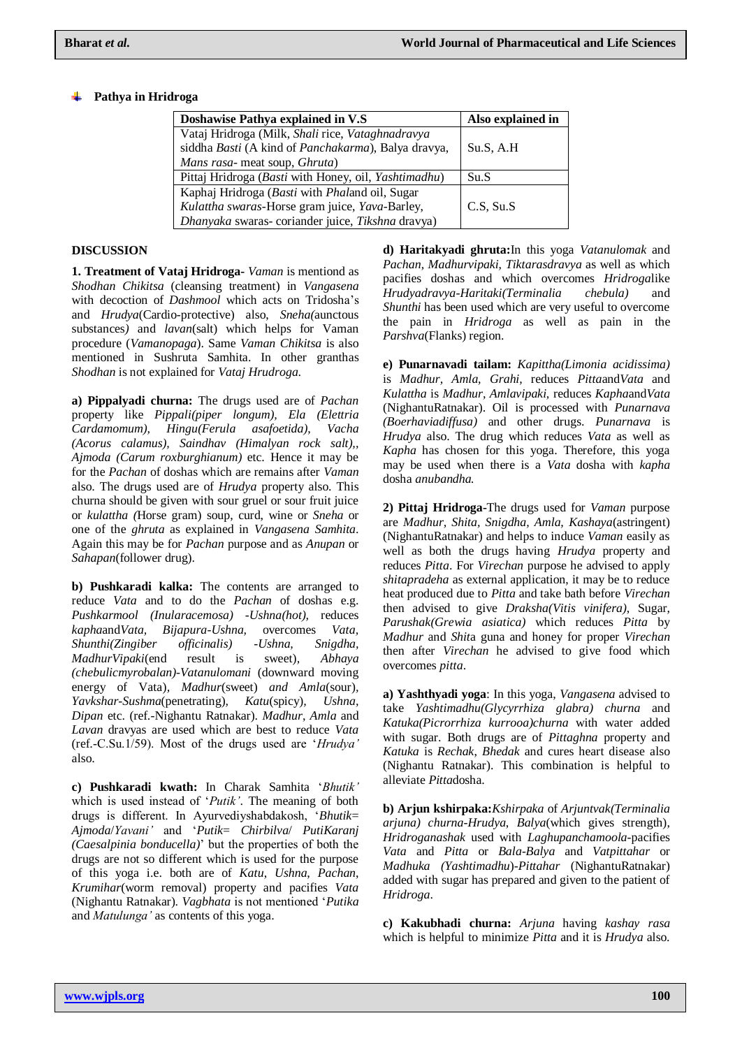### **Pathya in Hridroga**

| Doshawise Pathya explained in V.S                    | Also explained in |
|------------------------------------------------------|-------------------|
| Vataj Hridroga (Milk, Shali rice, Vataghnadravya     |                   |
| siddha Basti (A kind of Panchakarma), Balya dravya,  | Su.S. A.H         |
| Mans rasa- meat soup, Ghruta)                        |                   |
| Pittaj Hridroga (Basti with Honey, oil, Yashtimadhu) | Su.S              |
| Kaphaj Hridroga (Basti with Phaland oil, Sugar       |                   |
| Kulattha swaras-Horse gram juice, Yava-Barley,       | $C.S.$ Su.S       |
| Dhanyaka swaras- coriander juice, Tikshna dravya)    |                   |

### **DISCUSSION**

**1. Treatment of Vataj Hridroga-** *Vaman* is mentiond as *Shodhan Chikitsa* (cleansing treatment) in *Vangasena* with decoction of *Dashmool* which acts on Tridosha's and *Hrudya*(Cardio-protective) also, *Sneha(*aunctous substances*)* and *lavan*(salt) which helps for Vaman procedure (*Vamanopaga*). Same *Vaman Chikitsa* is also mentioned in Sushruta Samhita. In other granthas *Shodhan* is not explained for *Vataj Hrudroga*.

**a) Pippalyadi churna:** The drugs used are of *Pachan* property like *Pippali(piper longum), Ela (Elettria Cardamomum), Hingu(Ferula asafoetida), Vacha (Acorus calamus), Saindhav (Himalyan rock salt),, Ajmoda (Carum roxburghianum)* etc. Hence it may be for the *Pachan* of doshas which are remains after *Vaman* also. The drugs used are of *Hrudya* property also. This churna should be given with sour gruel or sour fruit juice or *kulattha (*Horse gram) soup, curd, wine or *Sneha* or one of the *ghruta* as explained in *Vangasena Samhita*. Again this may be for *Pachan* purpose and as *Anupan* or *Sahapan*(follower drug).

**b) Pushkaradi kalka:** The contents are arranged to reduce *Vata* and to do the *Pachan* of doshas e.g. *Pushkarmool (Inularacemosa) -Ushna(hot),* reduces *kapha*and*Vata, Bijapura-Ushna,* overcomes *Vata, Shunthi(Zingiber officinalis) -Ushna, Snigdha, MadhurVipaki*(end result is sweet)*, Abhaya (chebulicmyrobalan)-Vatanulomani* (downward moving energy of Vata)*, Madhur*(sweet) *and Amla*(sour)*, Yavkshar-Sushma*(penetrating)*, Katu*(spicy)*, Ushna, Dipan* etc. (ref.-Nighantu Ratnakar). *Madhur*, *Amla* and *Lavan* dravyas are used which are best to reduce *Vata* (ref.-C.Su.1/59). Most of the drugs used are '*Hrudya'* also.

**c) Pushkaradi kwath:** In Charak Samhita '*Bhutik'* which is used instead of '*Putik'*. The meaning of both drugs is different. In Ayurvediyshabdakosh, '*Bhutik*= *Ajmoda*/*Yavani'* and '*Putik*= *Chirbilva*/ *PutiKaranj (Caesalpinia bonducella)*' but the properties of both the drugs are not so different which is used for the purpose of this yoga i.e. both are of *Katu*, *Ushna*, *Pachan*, *Krumihar*(worm removal) property and pacifies *Vata* (Nighantu Ratnakar). *Vagbhata* is not mentioned '*Putika* and *Matulunga'* as contents of this yoga.

**d) Haritakyadi ghruta:**In this yoga *Vatanulomak* and *Pachan*, *Madhurvipaki*, *Tiktarasdravya* as well as which pacifies doshas and which overcomes *Hridroga*like *Hrudyadravya*-*Haritaki(Terminalia chebula)* and *Shunthi* has been used which are very useful to overcome the pain in *Hridroga* as well as pain in the *Parshva*(Flanks) region.

**e) Punarnavadi tailam:** *Kapittha(Limonia acidissima)* is *Madhur, Amla, Grahi,* reduces *Pitta*and*Vata* and *Kulattha* is *Madhur, Amlavipaki,* reduces *Kapha*and*Vata* (NighantuRatnakar). Oil is processed with *Punarnava (Boerhaviadiffusa)* and other drugs. *Punarnava* is *Hrudya* also. The drug which reduces *Vata* as well as *Kapha* has chosen for this yoga. Therefore, this yoga may be used when there is a *Vata* dosha with *kapha* dosha *anubandha.*

**2) Pittaj Hridroga-**The drugs used for *Vaman* purpose are *Madhur, Shita, Snigdha, Amla, Kashaya*(astringent) (NighantuRatnakar) and helps to induce *Vaman* easily as well as both the drugs having *Hrudya* property and reduces *Pitta*. For *Virechan* purpose he advised to apply *shitapradeha* as external application, it may be to reduce heat produced due to *Pitta* and take bath before *Virechan* then advised to give *Draksha(Vitis vinifera)*, Sugar, *Parushak(Grewia asiatica)* which reduces *Pitta* by *Madhur* and *Shit*a guna and honey for proper *Virechan* then after *Virechan* he advised to give food which overcomes *pitta*.

**a) Yashthyadi yoga**: In this yoga, *Vangasena* advised to take *Yashtimadhu(Glycyrrhiza glabra) churna* and *Katuka(Picrorrhiza kurrooa)churna* with water added with sugar. Both drugs are of *Pittaghna* property and *Katuka* is *Rechak*, *Bhedak* and cures heart disease also (Nighantu Ratnakar). This combination is helpful to alleviate *Pitta*dosha.

**b) Arjun kshirpaka:***Kshirpaka* of *Arjuntvak(Terminalia arjuna) churna*-*Hrudya*, *Balya*(which gives strength), *Hridroganashak* used with *Laghupanchamoola*-pacifies *Vata* and *Pitta* or *Bala*-*Balya* and *Vatpittahar* or *Madhuka (Yashtimadhu*)-*Pittahar* (NighantuRatnakar) added with sugar has prepared and given to the patient of *Hridroga*.

**c) Kakubhadi churna:** *Arjuna* having *kashay rasa* which is helpful to minimize *Pitta* and it is *Hrudya* also.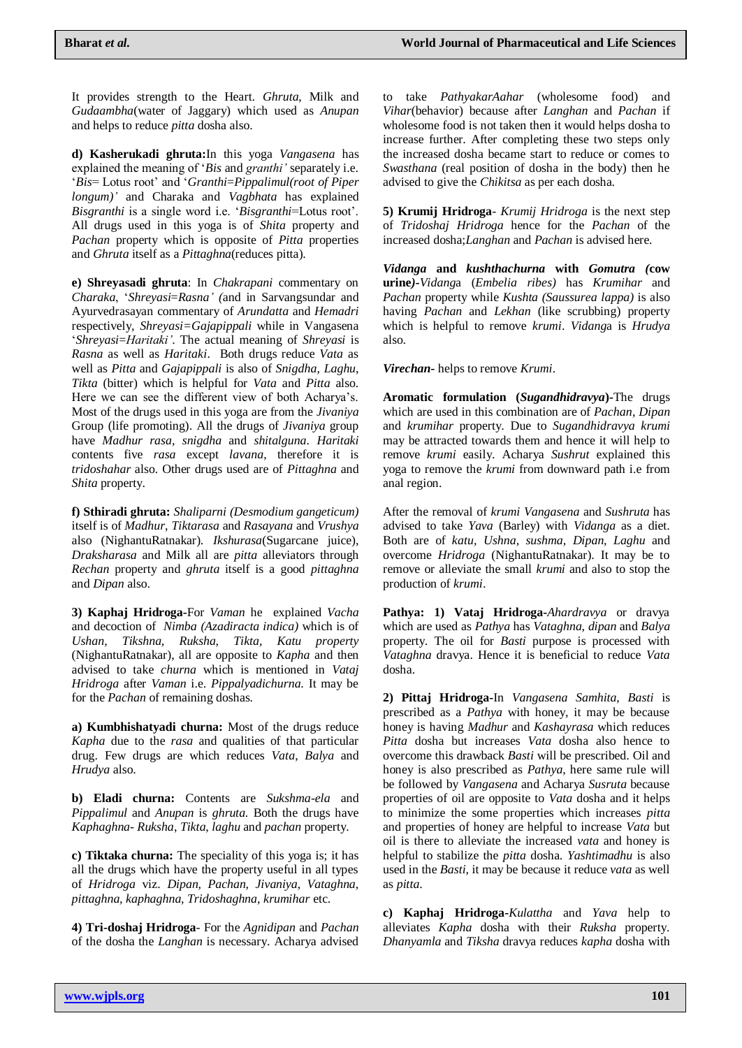It provides strength to the Heart. *Ghruta*, Milk and *Gudaambha*(water of Jaggary) which used as *Anupan* and helps to reduce *pitta* dosha also.

**d) Kasherukadi ghruta:**In this yoga *Vangasena* has explained the meaning of '*Bis* and *granthi'* separately i.e. '*Bis*= Lotus root' and '*Granthi*=*Pippalimul(root of Piper longum)'* and Charaka and *Vagbhata* has explained *Bisgranthi* is a single word i.e. '*Bisgranthi*=Lotus root'. All drugs used in this yoga is of *Shita* property and *Pachan* property which is opposite of *Pitta* properties and *Ghruta* itself as a *Pittaghna*(reduces pitta).

**e) Shreyasadi ghruta**: In *Chakrapani* commentary on *Charaka*, '*Shreyasi*=*Rasna' (*and in Sarvangsundar and Ayurvedrasayan commentary of *Arundatta* and *Hemadri* respectively, *Shreyasi=Gajapippali* while in Vangasena '*Shreyasi*=*Haritaki'*. The actual meaning of *Shreyasi* is *Rasna* as well as *Haritaki*. Both drugs reduce *Vata* as well as *Pitta* and *Gajapippali* is also of *Snigdha*, *Laghu*, *Tikta* (bitter) which is helpful for *Vata* and *Pitta* also. Here we can see the different view of both Acharya's. Most of the drugs used in this yoga are from the *Jivaniya* Group (life promoting). All the drugs of *Jivaniya* group have *Madhur rasa*, *snigdha* and *shitalguna*. *Haritaki* contents five *rasa* except *lavana*, therefore it is *tridoshahar* also. Other drugs used are of *Pittaghna* and *Shita* property.

**f) Sthiradi ghruta:** *Shaliparni (Desmodium gangeticum)* itself is of *Madhur*, *Tiktarasa* and *Rasayana* and *Vrushya* also (NighantuRatnakar). *Ikshurasa*(Sugarcane juice), *Draksharasa* and Milk all are *pitta* alleviators through *Rechan* property and *ghruta* itself is a good *pittaghna* and *Dipan* also.

**3) Kaphaj Hridroga-**For *Vaman* he explained *Vacha* and decoction of *Nimba (Azadiracta indica)* which is of *Ushan, Tikshna, Ruksha, Tikta, Katu property*  (NighantuRatnakar), all are opposite to *Kapha* and then advised to take *churna* which is mentioned in *Vataj Hridroga* after *Vaman* i.e. *Pippalyadichurna*. It may be for the *Pachan* of remaining doshas.

**a) Kumbhishatyadi churna:** Most of the drugs reduce *Kapha* due to the *rasa* and qualities of that particular drug. Few drugs are which reduces *Vata*, *Balya* and *Hrudya* also.

**b) Eladi churna:** Contents are *Sukshma*-*ela* and *Pippalimul* and *Anupan* is *ghruta*. Both the drugs have *Kaphaghna*- *Ruksha*, *Tikta*, *laghu* and *pachan* property.

**c) Tiktaka churna:** The speciality of this yoga is; it has all the drugs which have the property useful in all types of *Hridroga* viz. *Dipan, Pachan, Jivaniya, Vataghna, pittaghna, kaphaghna, Tridoshaghna, krumihar* etc.

**4) Tri-doshaj Hridroga**- For the *Agnidipan* and *Pachan* of the dosha the *Langhan* is necessary. Acharya advised to take *PathyakarAahar* (wholesome food) and *Vihar*(behavior) because after *Langhan* and *Pachan* if wholesome food is not taken then it would helps dosha to increase further. After completing these two steps only the increased dosha became start to reduce or comes to *Swasthana* (real position of dosha in the body) then he advised to give the *Chikitsa* as per each dosha.

**5) Krumij Hridroga**- *Krumij Hridroga* is the next step of *Tridoshaj Hridroga* hence for the *Pachan* of the increased dosha;*Langhan* and *Pachan* is advised here.

*Vidanga* **and** *kushthachurna* **with** *Gomutra (***cow urine***)-Vidang*a (*Embelia ribes)* has *Krumihar* and *Pachan* property while *Kushta (Saussurea lappa)* is also having *Pachan* and *Lekhan* (like scrubbing) property which is helpful to remove *krumi*. *Vidang*a is *Hrudya* also.

*Virechan-* helps to remove *Krumi*.

**Aromatic formulation (***Sugandhidravya***)-**The drugs which are used in this combination are of *Pachan*, *Dipan* and *krumihar* property. Due to *Sugandhidravya krumi* may be attracted towards them and hence it will help to remove *krumi* easily. Acharya *Sushrut* explained this yoga to remove the *krumi* from downward path i.e from anal region.

After the removal of *krumi Vangasena* and *Sushruta* has advised to take *Yava* (Barley) with *Vidanga* as a diet. Both are of *katu, Ushna, sushma, Dipan, Laghu* and overcome *Hridroga* (NighantuRatnakar). It may be to remove or alleviate the small *krumi* and also to stop the production of *krumi*.

**Pathya: 1) Vataj Hridroga-***Ahardravya* or dravya which are used as *Pathya* has *Vataghna*, *dipan* and *Balya* property. The oil for *Basti* purpose is processed with *Vataghna* dravya. Hence it is beneficial to reduce *Vata* dosha.

**2) Pittaj Hridroga-**In *Vangasena Samhita*, *Basti* is prescribed as a *Pathya* with honey, it may be because honey is having *Madhur* and *Kashayrasa* which reduces *Pitta* dosha but increases *Vata* dosha also hence to overcome this drawback *Basti* will be prescribed. Oil and honey is also prescribed as *Pathya*, here same rule will be followed by *Vangasena* and Acharya *Susruta* because properties of oil are opposite to *Vata* dosha and it helps to minimize the some properties which increases *pitta* and properties of honey are helpful to increase *Vata* but oil is there to alleviate the increased *vata* and honey is helpful to stabilize the *pitta* dosha. *Yashtimadhu* is also used in the *Basti,* it may be because it reduce *vata* as well as *pitta*.

**c) Kaphaj Hridroga-***Kulattha* and *Yava* help to alleviates *Kapha* dosha with their *Ruksha* property. *Dhanyamla* and *Tiksha* dravya reduces *kapha* dosha with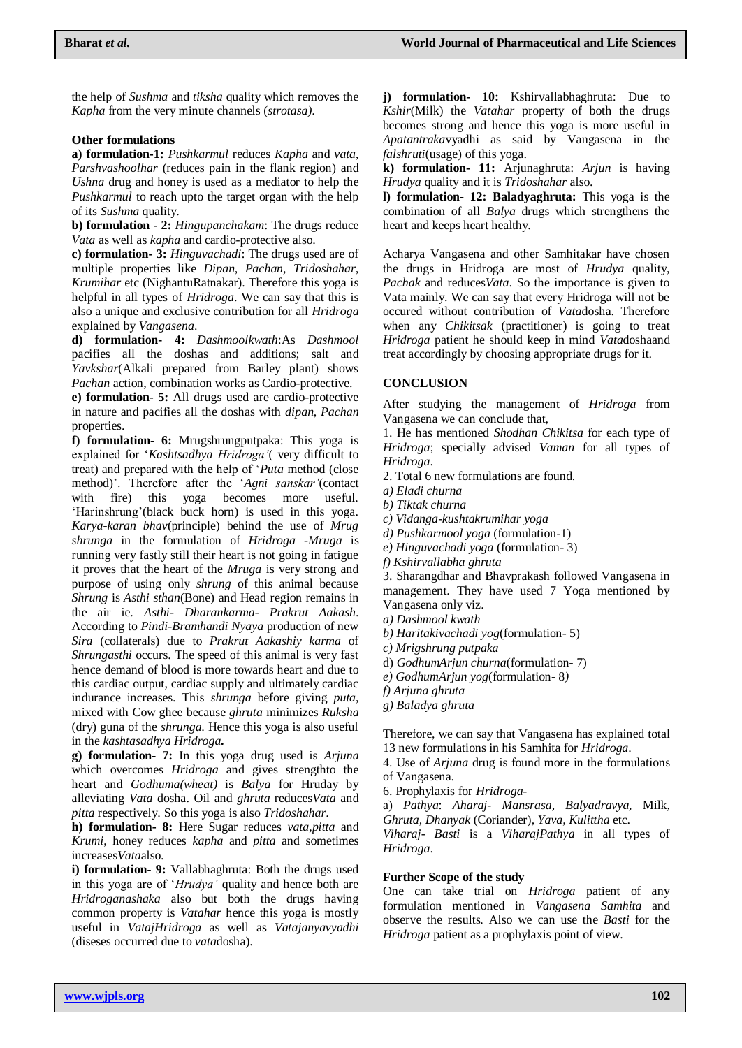the help of *Sushma* and *tiksha* quality which removes the *Kapha* from the very minute channels (*strotasa)*.

#### **Other formulations**

**a) formulation-1:** *Pushkarmul* reduces *Kapha* and *vata*, *Parshvashoolhar* (reduces pain in the flank region) and *Ushna* drug and honey is used as a mediator to help the *Pushkarmul* to reach upto the target organ with the help of its *Sushma* quality.

**b) formulation - 2:** *Hingupanchakam*: The drugs reduce *Vata* as well as *kapha* and cardio-protective also.

**c) formulation- 3:** *Hinguvachadi*: The drugs used are of multiple properties like *Dipan, Pachan, Tridoshahar, Krumihar* etc (NighantuRatnakar). Therefore this yoga is helpful in all types of *Hridroga*. We can say that this is also a unique and exclusive contribution for all *Hridroga* explained by *Vangasena*.

**d) formulation- 4:** *Dashmoolkwath*:As *Dashmool* pacifies all the doshas and additions; salt and *Yavkshar*(Alkali prepared from Barley plant) shows *Pachan* action, combination works as Cardio-protective.

**e) formulation- 5:** All drugs used are cardio-protective in nature and pacifies all the doshas with *dipan*, *Pachan* properties.

**f) formulation- 6:** Mrugshrungputpaka: This yoga is explained for '*Kashtsadhya Hridroga'*( very difficult to treat) and prepared with the help of '*Puta* method (close method)'. Therefore after the '*Agni sanskar'*(contact with fire) this yoga becomes more useful. 'Harinshrung'(black buck horn) is used in this yoga. *Karya-karan bhav*(principle) behind the use of *Mrug shrunga* in the formulation of *Hridroga* -*Mruga* is running very fastly still their heart is not going in fatigue it proves that the heart of the *Mruga* is very strong and purpose of using only *shrung* of this animal because *Shrung* is *Asthi sthan*(Bone) and Head region remains in the air ie. *Asthi- Dharankarma- Prakrut Aakash*. According to *Pindi-Bramhandi Nyaya* production of new *Sira* (collaterals) due to *Prakrut Aakashiy karma* of *Shrungasthi* occurs. The speed of this animal is very fast hence demand of blood is more towards heart and due to this cardiac output, cardiac supply and ultimately cardiac indurance increases. This *shrunga* before giving *puta*, mixed with Cow ghee because *ghruta* minimizes *Ruksha* (dry) guna of the *shrunga*. Hence this yoga is also useful in the *kashtasadhya Hridroga***.**

**g) formulation- 7:** In this yoga drug used is *Arjuna* which overcomes *Hridroga* and gives strengthto the heart and *Godhuma(wheat)* is *Balya* for Hruday by alleviating *Vata* dosha. Oil and *ghruta* reduces*Vata* and *pitta* respectively. So this yoga is also *Tridoshahar*.

**h) formulation- 8:** Here Sugar reduces *vata,pitta* and *Krumi*, honey reduces *kapha* and *pitta* and sometimes increases*Vata*also.

**i) formulation- 9:** Vallabhaghruta: Both the drugs used in this yoga are of '*Hrudya'* quality and hence both are *Hridroganashaka* also but both the drugs having common property is *Vatahar* hence this yoga is mostly useful in *VatajHridroga* as well as *Vatajanyavyadhi* (diseses occurred due to *vata*dosha).

**j) formulation- 10:** Kshirvallabhaghruta: Due to *Kshir*(Milk) the *Vatahar* property of both the drugs becomes strong and hence this yoga is more useful in *Apatantraka*vyadhi as said by Vangasena in the *falshruti*(usage) of this yoga.

**k) formulation- 11:** Arjunaghruta: *Arjun* is having *Hrudya* quality and it is *Tridoshahar* also.

**l) formulation- 12: Baladyaghruta:** This yoga is the combination of all *Balya* drugs which strengthens the heart and keeps heart healthy.

Acharya Vangasena and other Samhitakar have chosen the drugs in Hridroga are most of *Hrudya* quality, *Pachak* and reduces*Vata*. So the importance is given to Vata mainly. We can say that every Hridroga will not be occured without contribution of *Vata*dosha. Therefore when any *Chikitsak* (practitioner) is going to treat *Hridroga* patient he should keep in mind *Vata*doshaand treat accordingly by choosing appropriate drugs for it.

### **CONCLUSION**

After studying the management of *Hridroga* from Vangasena we can conclude that,

1. He has mentioned *Shodhan Chikitsa* for each type of *Hridroga*; specially advised *Vaman* for all types of *Hridroga*.

- 2. Total 6 new formulations are found.
- *a) Eladi churna*
- *b) Tiktak churna*
- *c) Vidanga-kushtakrumihar yoga*
- *d) Pushkarmool yoga* (formulation-1)
- *e) Hinguvachadi yoga* (formulation- 3)
- *f) Kshirvallabha ghruta*

3. Sharangdhar and Bhavprakash followed Vangasena in management. They have used 7 Yoga mentioned by Vangasena only viz.

- *a) Dashmool kwath*
- *b) Haritakivachadi yog*(formulation- 5)
- *c) Mrigshrung putpaka*
- d) *GodhumArjun churna*(formulation- 7)
- *e) GodhumArjun yog*(formulation- 8*)*
- *f) Arjuna ghruta*
- *g) Baladya ghruta*

Therefore, we can say that Vangasena has explained total 13 new formulations in his Samhita for *Hridroga*.

4. Use of *Arjuna* drug is found more in the formulations of Vangasena.

6. Prophylaxis for *Hridroga*-

a) *Pathya*: *Aharaj- Mansrasa, Balyadravya,* Milk*, Ghruta, Dhanyak* (Coriander)*, Yava, Kulittha* etc.

*Viharaj- Basti* is a *ViharajPathya* in all types of *Hridroga*.

### **Further Scope of the study**

One can take trial on *Hridroga* patient of any formulation mentioned in *Vangasena Samhita* and observe the results. Also we can use the *Basti* for the *Hridroga* patient as a prophylaxis point of view.